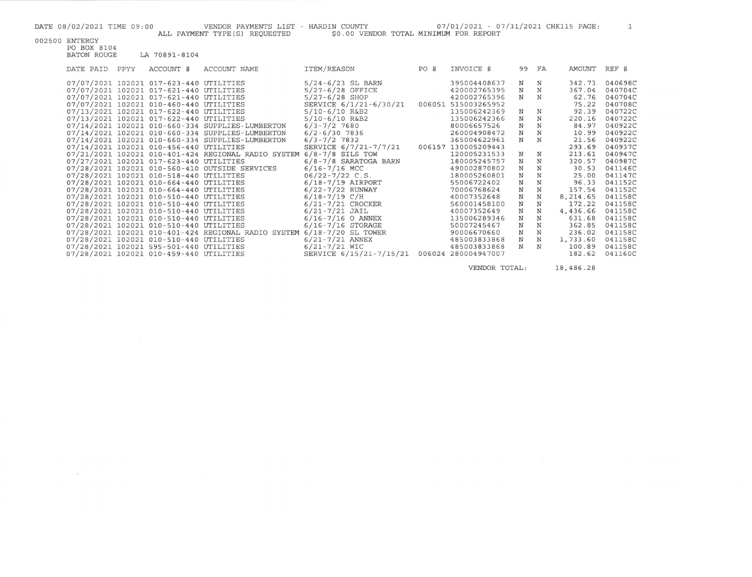| 002500 | ENTERGY |
|--------|---------|
|        |         |
|        |         |

 $\sim 10^{-1}$ 

| PO BOX 8104 |             |               |  |
|-------------|-------------|---------------|--|
|             | BATON ROUGE | LA 70891-8104 |  |

| $5/24 - 6/23$ SL BARN<br>07/07/2021 102021 017-623-440 UTILITIES<br>395004408637<br>$_{\rm N}$<br>342.73<br>N<br>$5/27 - 6/28$ OFFICE<br>07/07/2021 102021 017-621-440 UTILITIES<br>$_{\rm N}$<br>N<br>367.04<br>420002765395<br>$5/27 - 6/28$ SHOP<br>N<br>420002765396<br>N<br>62.76<br>07/07/2021 102021 017-621-440 UTILITIES<br>SERVICE 6/1/21-6/30/21<br>75.22<br>07/07/2021 102021 010-460-440 UTILITIES<br>006051 515003265952<br>$5/10-6/10$ R&B2<br>135006242369<br>N<br>92.39<br>07/13/2021 102021 017-622-440 UTILITIES<br>N | 040698C<br>040704C<br>040704C<br>040708C<br>040722C |
|------------------------------------------------------------------------------------------------------------------------------------------------------------------------------------------------------------------------------------------------------------------------------------------------------------------------------------------------------------------------------------------------------------------------------------------------------------------------------------------------------------------------------------------|-----------------------------------------------------|
|                                                                                                                                                                                                                                                                                                                                                                                                                                                                                                                                          |                                                     |
|                                                                                                                                                                                                                                                                                                                                                                                                                                                                                                                                          |                                                     |
|                                                                                                                                                                                                                                                                                                                                                                                                                                                                                                                                          |                                                     |
|                                                                                                                                                                                                                                                                                                                                                                                                                                                                                                                                          |                                                     |
|                                                                                                                                                                                                                                                                                                                                                                                                                                                                                                                                          |                                                     |
| $5/10 - 6/10$ R&B2<br>07/13/2021 102021 017-622-440 UTILITIES<br>N<br>N<br>135006242366<br>220.16                                                                                                                                                                                                                                                                                                                                                                                                                                        | 040722C                                             |
| $\rm N$<br>$_{\rm N}$<br>07/14/2021 102021 010-660-334 SUPPLIES-LUMBERTON<br>$6/3 - 7/2$ 7680<br>80006657526<br>84.97                                                                                                                                                                                                                                                                                                                                                                                                                    | 040922C                                             |
| $\mathbf N$<br>$6/2 - 6/30$ 7836<br>$_{\rm N}$<br>07/14/2021 102021 010-660-334 SUPPLIES-LUMBERTON<br>260004908472<br>10.99                                                                                                                                                                                                                                                                                                                                                                                                              | 040922C                                             |
| $_{\rm N}$<br>N<br>$6/3 - 7/2$ 7832<br>21.56<br>07/14/2021 102021 010-660-334 SUPPLIES-LUMBERTON<br>365004622961                                                                                                                                                                                                                                                                                                                                                                                                                         | 040922C                                             |
| SERVICE 6/7/21-7/7/21<br>07/14/2021 102021 010-456-440 UTILITIES<br>130005209443<br>293.69<br>006157                                                                                                                                                                                                                                                                                                                                                                                                                                     | 040937C                                             |
| $_{\rm N}$<br>$6/8 - 7/8$ SILS TOW<br>120005231533<br>213.61<br>07/21/2021 102021 010-401-424 REGIONAL RADIO SYSTEM<br>N                                                                                                                                                                                                                                                                                                                                                                                                                 | 040947C                                             |
| N<br>N<br>07/27/2021 102021 017-623-440 UTILITIES<br>$6/8 - 7/8$ SARATOGA BARN<br>180005245757<br>320.57                                                                                                                                                                                                                                                                                                                                                                                                                                 | 040987C                                             |
| $6/16 - 7/16$ MCC<br>07/28/2021 102021 010-560-410 OUTSIDE SERVICES<br>490002870802<br>N<br>N<br>30.53                                                                                                                                                                                                                                                                                                                                                                                                                                   | 041146C                                             |
| $06/22 - 7/22$ C.S.<br>N<br>N<br>07/28/2021 102021 010-518-440 UTILITIES<br>25.00<br>180005260801                                                                                                                                                                                                                                                                                                                                                                                                                                        | 041147C                                             |
| N<br>N<br>07/28/2021 102021 010-664-440 UTILITIES<br>$6/18 - 7/19$ AIRPORT<br>55006722402<br>96.33                                                                                                                                                                                                                                                                                                                                                                                                                                       | 041152C                                             |
| $6/22 - 7/22$ RUNWAY<br>N<br>07/28/2021 102021 010-664-440 UTILITIES<br>N<br>70006768624<br>157.54                                                                                                                                                                                                                                                                                                                                                                                                                                       | 041152C                                             |
| $6/18 - 7/19$ C/H<br>N<br>N<br>07/28/2021 102021 010-510-440 UTILITIES<br>8,214.65<br>40007352648                                                                                                                                                                                                                                                                                                                                                                                                                                        | 041158C                                             |
| $6/21 - 7/21$ CROCKER<br>N<br>N<br>07/28/2021 102021 010-510-440 UTILITIES<br>172.22<br>560001458100                                                                                                                                                                                                                                                                                                                                                                                                                                     | 041158C                                             |
| $\mathbf N$<br>$6/21 - 7/21$ JAIL<br>N<br>07/28/2021 102021 010-510-440 UTILITIES<br>40007352649<br>4,436.66                                                                                                                                                                                                                                                                                                                                                                                                                             | 041158C                                             |
| $_{\rm N}$<br>$6/16 - 7/16$ O ANNEX<br>N<br>07/28/2021 102021 010-510-440 UTILITIES<br>135006289346<br>631.68                                                                                                                                                                                                                                                                                                                                                                                                                            | 041158C                                             |
| N<br>$6/16 - 7/16$ STORAGE<br>N<br>07/28/2021 102021 010-510-440 UTILITIES<br>362.85<br>50007245467                                                                                                                                                                                                                                                                                                                                                                                                                                      | 041158C                                             |
| $6/18 - 7/20$ SL TOWER<br>N<br>07/28/2021 102021 010-401-424 REGIONAL RADIO SYSTEM<br>90006670660<br>N<br>236.02                                                                                                                                                                                                                                                                                                                                                                                                                         | 041158C                                             |
| $6/21 - 7/21$ ANNEX<br>N<br>07/28/2021 102021 010-510-440 UTILITIES<br>N<br>1,733.60<br>485003833868                                                                                                                                                                                                                                                                                                                                                                                                                                     | 041158C                                             |
| $6/21 - 7/21$ WIC<br>N<br>07/28/2021 102021 595-501-440 UTILITIES<br>485003833868<br>N<br>100.89                                                                                                                                                                                                                                                                                                                                                                                                                                         | 041158C                                             |
| SERVICE 6/15/21-7/15/21<br>280004947007<br>182.62<br>07/28/2021 102021 010-459-440 UTILITIES<br>006024                                                                                                                                                                                                                                                                                                                                                                                                                                   | 041160C                                             |

VENDOR TOTAL: 18,486.28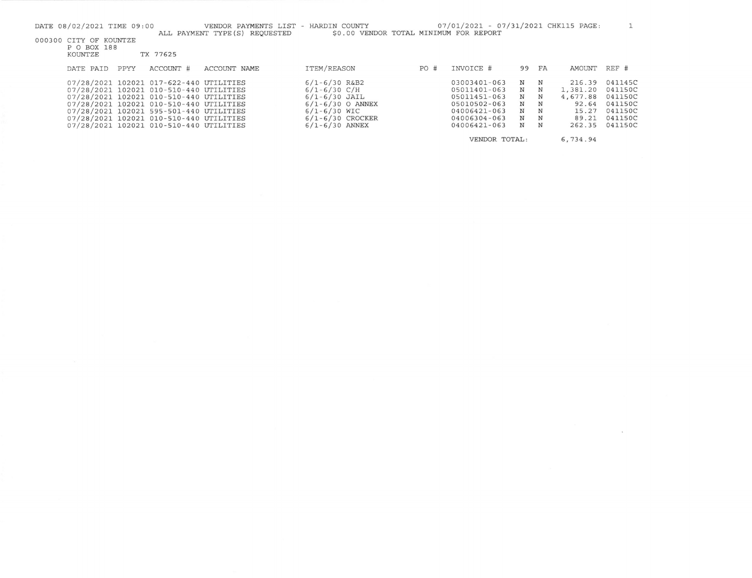| DATE 08/02/2021 TIME 09:00                       |      |                                                                                                                                                                          | VENDOR PAYMENTS LIST - HARDIN COUNTY<br>ALL PAYMENT TYPE (S) REOUESTED | \$0.00 VENDOR TOTAL MINIMUM FOR REPORT                                             |     | 07/01/2021 - 07/31/2021 CHK115 PAGE:                         |                  |                           |                                         |                                          |
|--------------------------------------------------|------|--------------------------------------------------------------------------------------------------------------------------------------------------------------------------|------------------------------------------------------------------------|------------------------------------------------------------------------------------|-----|--------------------------------------------------------------|------------------|---------------------------|-----------------------------------------|------------------------------------------|
| 000300 CITY OF KOUNTZE<br>P O BOX 188<br>KOUNTZE |      | TX 77625                                                                                                                                                                 |                                                                        |                                                                                    |     |                                                              |                  |                           |                                         |                                          |
| DATE PAID                                        | PPYY | ACCOUNT #                                                                                                                                                                | ACCOUNT NAME                                                           | ITEM/REASON                                                                        | PO# | INVOICE #                                                    | 99               | FA                        | AMOUNT                                  | REF #                                    |
|                                                  |      | 07/28/2021 102021 017-622-440 UTILITIES<br>07/28/2021 102021 010-510-440 UTILITIES<br>07/28/2021 102021 010-510-440 UTILITIES<br>07/28/2021 102021 010-510-440 UTILITIES |                                                                        | $6/1 - 6/30$ R&B2<br>$6/1 - 6/30$ C/H<br>$6/1 - 6/30$ JAIL<br>$6/1 - 6/30$ O ANNEX |     | 03003401-063<br>05011401-063<br>05011451-063<br>05010502-063 | N<br>N<br>N<br>N | $_{\rm N}$<br>N<br>N<br>N | 216.39<br>1,381.20<br>4,677.88<br>92.64 | 041145C<br>041150C<br>041150C<br>041150C |
|                                                  |      | 07/28/2021 102021 595-501-440 UTILITIES<br>07/28/2021 102021 010-510-440 UTILITIES<br>07/28/2021 102021 010-510-440 UTILITIES                                            |                                                                        | $6/1 - 6/30$ WIC<br>$6/1 - 6/30$ CROCKER<br>$6/1 - 6/30$ ANNEX                     |     | 04006421-063<br>04006304-063<br>04006421-063                 | N<br>N<br>N      | N<br>$\mathbf N$<br>N     | 15.27<br>89.21                          | 041150C<br>041150C<br>262.35 041150C     |
|                                                  |      |                                                                                                                                                                          |                                                                        |                                                                                    |     | VENDOR TOTAL:                                                |                  |                           | 6,734.94                                |                                          |

 $\sim$